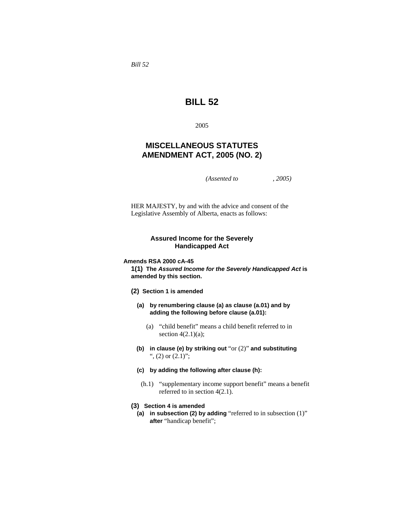*Bill 52* 

# **BILL 52**

2005

## **MISCELLANEOUS STATUTES AMENDMENT ACT, 2005 (NO. 2)**

*(Assented to , 2005)* 

HER MAJESTY, by and with the advice and consent of the Legislative Assembly of Alberta, enacts as follows:

#### **Assured Income for the Severely Handicapped Act**

**Amends RSA 2000 cA-45** 

**1(1) The** *Assured Income for the Severely Handicapped Act* **is amended by this section.**

- **(2) Section 1 is amended**
	- **(a) by renumbering clause (a) as clause (a.01) and by adding the following before clause (a.01):**
		- (a) "child benefit" means a child benefit referred to in section  $4(2.1)(a)$ ;
	- **(b) in clause (e) by striking out** "or (2)" **and substituting**  ", (2) or (2.1)";
	- **(c) by adding the following after clause (h):**
	- (h.1) "supplementary income support benefit" means a benefit referred to in section 4(2.1).

## **(3) Section 4 is amended**

**(a) in subsection (2) by adding** "referred to in subsection (1)" **after** "handicap benefit";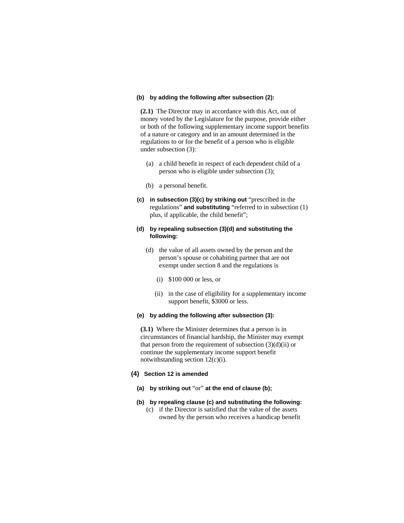#### **(b) by adding the following after subsection (2):**

**(2.1)** The Director may in accordance with this Act, out of money voted by the Legislature for the purpose, provide either or both of the following supplementary income support benefits of a nature or category and in an amount determined in the regulations to or for the benefit of a person who is eligible under subsection (3):

- (a) a child benefit in respect of each dependent child of a person who is eligible under subsection (3);
- (b) a personal benefit.
- **(c) in subsection (3)(c) by striking out** "prescribed in the regulations" **and substituting** "referred to in subsection (1) plus, if applicable, the child benefit";

## **(d) by repealing subsection (3)(d) and substituting the following:**

- (d) the value of all assets owned by the person and the person's spouse or cohabiting partner that are not exempt under section 8 and the regulations is
	- (i) \$100 000 or less, or
	- (ii) in the case of eligibility for a supplementary income support benefit, \$3000 or less.

#### **(e) by adding the following after subsection (3):**

**(3.1)** Where the Minister determines that a person is in circumstances of financial hardship, the Minister may exempt that person from the requirement of subsection  $(3)(d)(ii)$  or continue the supplementary income support benefit notwithstanding section 12(c)(i).

#### **(4) Section 12 is amended**

- **(a) by striking out** "or" **at the end of clause (b);**
- **(b) by repealing clause (c) and substituting the following:**  (c) if the Director is satisfied that the value of the assets owned by the person who receives a handicap benefit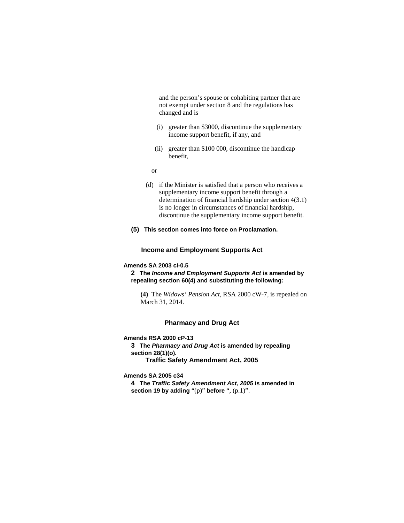and the person's spouse or cohabiting partner that are not exempt under section 8 and the regulations has changed and is

- (i) greater than \$3000, discontinue the supplementary income support benefit, if any, and
- (ii) greater than \$100 000, discontinue the handicap benefit,

or

- (d) if the Minister is satisfied that a person who receives a supplementary income support benefit through a determination of financial hardship under section 4(3.1) is no longer in circumstances of financial hardship, discontinue the supplementary income support benefit.
- **(5) This section comes into force on Proclamation.**

## **Income and Employment Supports Act**

## **Amends SA 2003 cI-0.5**

**2 The** *Income and Employment Supports Act* **is amended by repealing section 60(4) and substituting the following:** 

**(4)** The *Widows' Pension Act*, RSA 2000 cW-7, is repealed on March 31, 2014.

#### **Pharmacy and Drug Act**

#### **Amends RSA 2000 cP-13**

**3 The** *Pharmacy and Drug Act* **is amended by repealing section 28(1)(o). Traffic Safety Amendment Act, 2005** 

**Amends SA 2005 c34** 

**4 The** *Traffic Safety Amendment Act, 2005* **is amended in section 19 by adding** "(p)" **before** ", (p.1)".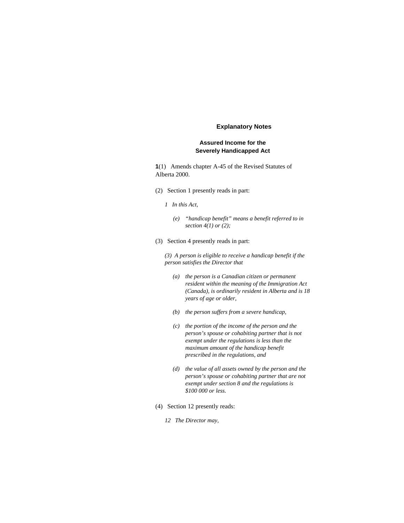#### **Explanatory Notes**

## **Assured Income for the Severely Handicapped Act**

**1**(1) Amends chapter A-45 of the Revised Statutes of Alberta 2000.

- (2) Section 1 presently reads in part:
	- *1 In this Act,* 
		- *(e) "handicap benefit" means a benefit referred to in section 4(1) or (2);*
- (3) Section 4 presently reads in part:

*(3) A person is eligible to receive a handicap benefit if the person satisfies the Director that* 

- *(a) the person is a Canadian citizen or permanent resident within the meaning of the Immigration Act (Canada), is ordinarily resident in Alberta and is 18 years of age or older,*
- *(b) the person suffers from a severe handicap,*
- *(c) the portion of the income of the person and the person's spouse or cohabiting partner that is not exempt under the regulations is less than the maximum amount of the handicap benefit prescribed in the regulations, and*
- *(d) the value of all assets owned by the person and the person's spouse or cohabiting partner that are not exempt under section 8 and the regulations is \$100 000 or less.*
- (4) Section 12 presently reads:
	- *12 The Director may,*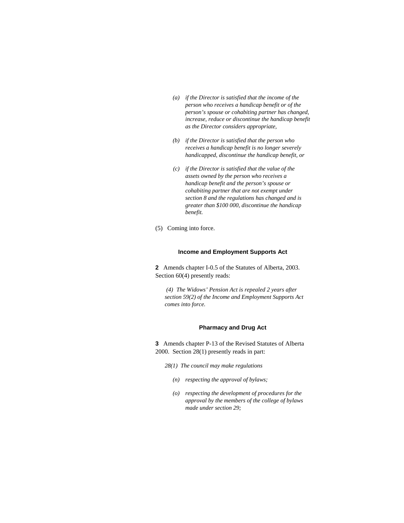- *(a) if the Director is satisfied that the income of the person who receives a handicap benefit or of the person's spouse or cohabiting partner has changed, increase, reduce or discontinue the handicap benefit as the Director considers appropriate,*
- *(b) if the Director is satisfied that the person who receives a handicap benefit is no longer severely handicapped, discontinue the handicap benefit, or*
- *(c) if the Director is satisfied that the value of the assets owned by the person who receives a handicap benefit and the person's spouse or cohabiting partner that are not exempt under section 8 and the regulations has changed and is greater than \$100 000, discontinue the handicap benefit.*
- (5) Coming into force.

#### **Income and Employment Supports Act**

**2** Amends chapter I-0.5 of the Statutes of Alberta, 2003. Section 60(4) presently reads:

 *(4) The Widows' Pension Act is repealed 2 years after section 59(2) of the Income and Employment Supports Act comes into force.* 

#### **Pharmacy and Drug Act**

**3** Amends chapter P-13 of the Revised Statutes of Alberta 2000. Section 28(1) presently reads in part:

- *28(1) The council may make regulations* 
	- *(n) respecting the approval of bylaws;*
	- *(o) respecting the development of procedures for the approval by the members of the college of bylaws made under section 29;*